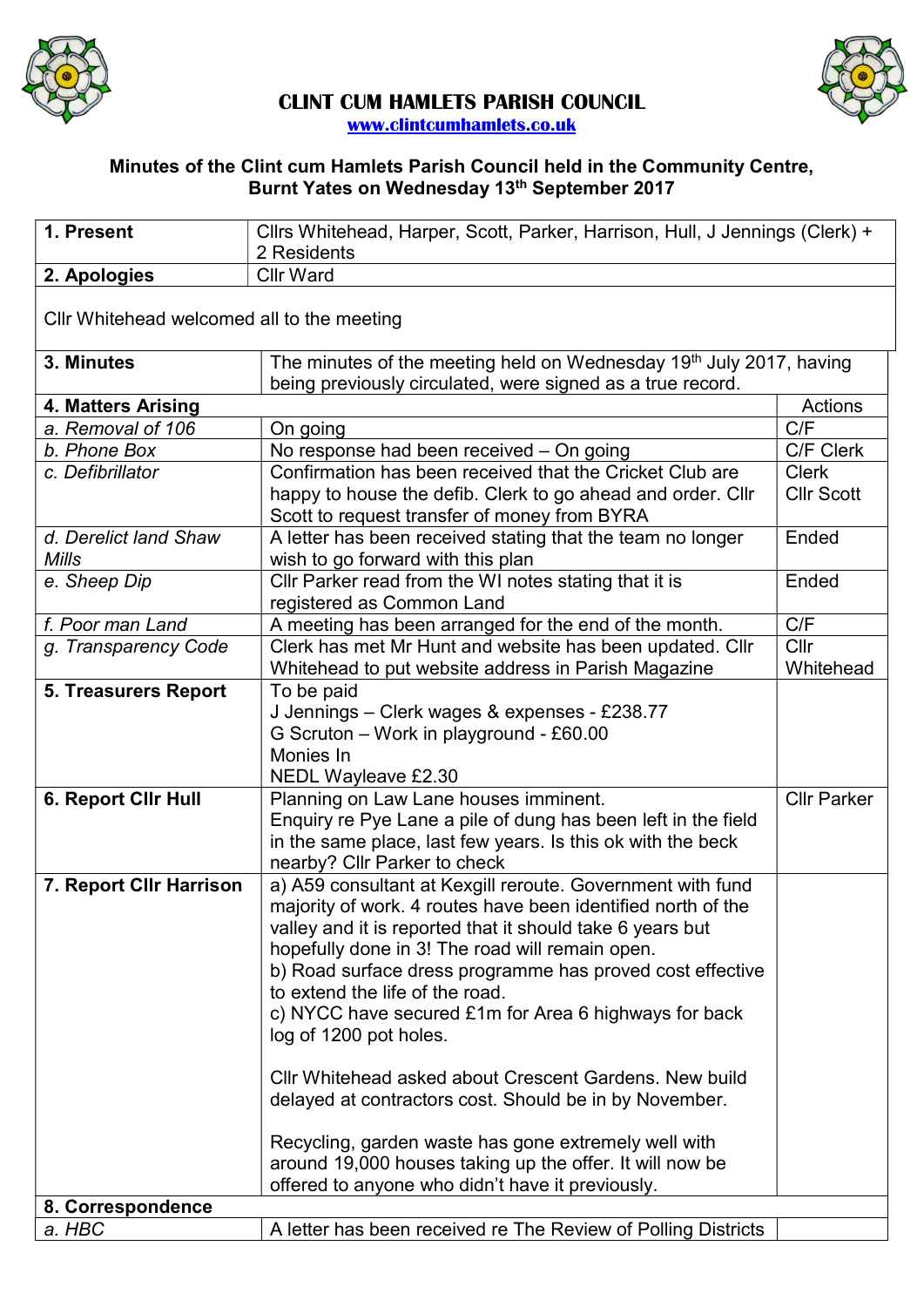



## CLINT CUM HAMLETS PARISH COUNCIL

## www.clintcumhamlets.co.uk

## Minutes of the Clint cum Hamlets Parish Council held in the Community Centre, Burnt Yates on Wednesday 13th September 2017

| 1. Present                                                              | Cllrs Whitehead, Harper, Scott, Parker, Harrison, Hull, J Jennings (Clerk) +                                                      |                    |  |
|-------------------------------------------------------------------------|-----------------------------------------------------------------------------------------------------------------------------------|--------------------|--|
| 2. Apologies                                                            | 2 Residents<br><b>Cllr Ward</b>                                                                                                   |                    |  |
|                                                                         |                                                                                                                                   |                    |  |
| Cllr Whitehead welcomed all to the meeting                              |                                                                                                                                   |                    |  |
| 3. Minutes                                                              | The minutes of the meeting held on Wednesday 19th July 2017, having<br>being previously circulated, were signed as a true record. |                    |  |
| 4. Matters Arising                                                      |                                                                                                                                   | Actions            |  |
| a. Removal of 106                                                       | On going                                                                                                                          | C/F                |  |
| b. Phone Box                                                            | No response had been received - On going                                                                                          | C/F Clerk          |  |
| c. Defibrillator                                                        | Confirmation has been received that the Cricket Club are                                                                          | <b>Clerk</b>       |  |
|                                                                         | happy to house the defib. Clerk to go ahead and order. Cllr                                                                       | <b>CIIr Scott</b>  |  |
|                                                                         | Scott to request transfer of money from BYRA                                                                                      |                    |  |
| d. Derelict land Shaw                                                   | A letter has been received stating that the team no longer                                                                        | Ended              |  |
| <b>Mills</b>                                                            | wish to go forward with this plan                                                                                                 |                    |  |
| e. Sheep Dip                                                            | Cllr Parker read from the WI notes stating that it is                                                                             | Ended              |  |
|                                                                         | registered as Common Land                                                                                                         |                    |  |
| f. Poor man Land                                                        | A meeting has been arranged for the end of the month.                                                                             | C/F                |  |
| g. Transparency Code                                                    | Clerk has met Mr Hunt and website has been updated. Cllr                                                                          | Cllr               |  |
|                                                                         | Whitehead to put website address in Parish Magazine<br>To be paid                                                                 | Whitehead          |  |
| 5. Treasurers Report                                                    | J Jennings - Clerk wages & expenses - £238.77                                                                                     |                    |  |
|                                                                         | G Scruton - Work in playground - £60.00                                                                                           |                    |  |
|                                                                         | Monies In                                                                                                                         |                    |  |
|                                                                         | NEDL Wayleave £2.30                                                                                                               |                    |  |
| 6. Report Cllr Hull                                                     | Planning on Law Lane houses imminent.                                                                                             | <b>Cllr Parker</b> |  |
|                                                                         | Enquiry re Pye Lane a pile of dung has been left in the field                                                                     |                    |  |
|                                                                         | in the same place, last few years. Is this ok with the beck                                                                       |                    |  |
|                                                                         | nearby? Cllr Parker to check                                                                                                      |                    |  |
| 7. Report Cllr Harrison                                                 | a) A59 consultant at Kexgill reroute. Government with fund                                                                        |                    |  |
|                                                                         | majority of work. 4 routes have been identified north of the                                                                      |                    |  |
|                                                                         | valley and it is reported that it should take 6 years but                                                                         |                    |  |
|                                                                         | hopefully done in 3! The road will remain open.                                                                                   |                    |  |
|                                                                         | b) Road surface dress programme has proved cost effective                                                                         |                    |  |
|                                                                         | to extend the life of the road.                                                                                                   |                    |  |
|                                                                         | c) NYCC have secured £1m for Area 6 highways for back                                                                             |                    |  |
|                                                                         | log of 1200 pot holes.                                                                                                            |                    |  |
|                                                                         | Cllr Whitehead asked about Crescent Gardens. New build                                                                            |                    |  |
|                                                                         | delayed at contractors cost. Should be in by November.                                                                            |                    |  |
|                                                                         | Recycling, garden waste has gone extremely well with                                                                              |                    |  |
|                                                                         | around 19,000 houses taking up the offer. It will now be                                                                          |                    |  |
|                                                                         | offered to anyone who didn't have it previously.                                                                                  |                    |  |
| 8. Correspondence                                                       |                                                                                                                                   |                    |  |
| a. HBC<br>A letter has been received re The Review of Polling Districts |                                                                                                                                   |                    |  |
|                                                                         |                                                                                                                                   |                    |  |